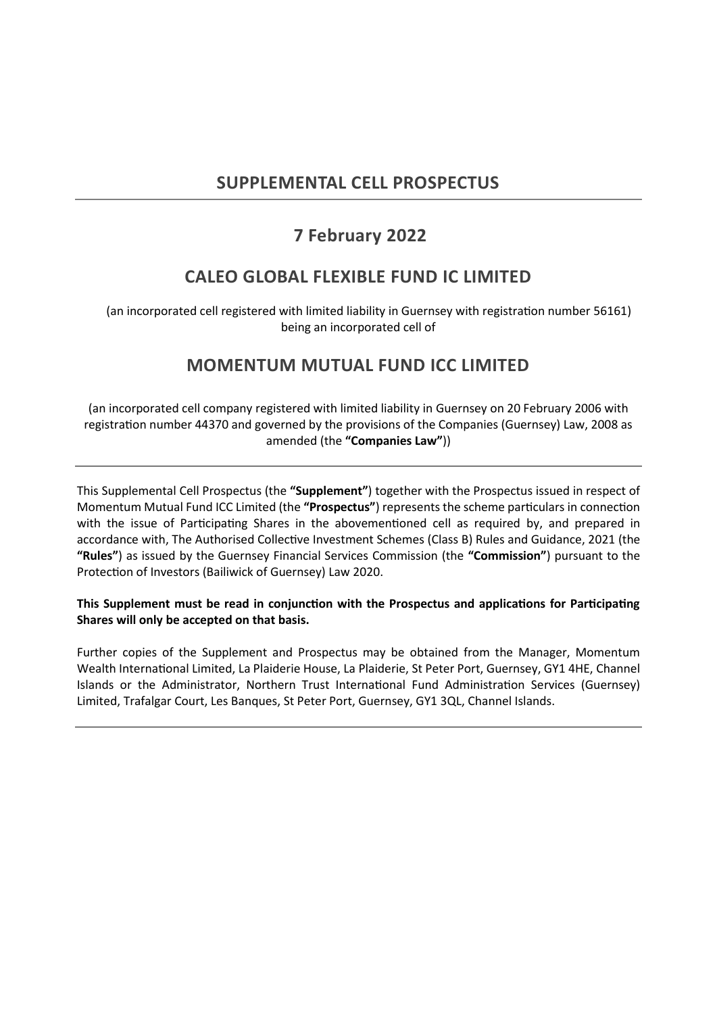# **SUPPLEMENTAL CELL PROSPECTUS**

# **7 February 2022**

# **CALEO GLOBAL FLEXIBLE FUND IC LIMITED**

(an incorporated cell registered with limited liability in Guernsey with registration number 56161) being an incorporated cell of

# **MOMENTUM MUTUAL FUND ICC LIMITED**

(an incorporated cell company registered with limited liability in Guernsey on 20 February 2006 with registration number 44370 and governed by the provisions of the Companies (Guernsey) Law, 2008 as amended (the **"Companies Law"**))

This Supplemental Cell Prospectus (the **"Supplement"**) together with the Prospectus issued in respect of Momentum Mutual Fund ICC Limited (the **"Prospectus"**) represents the scheme particulars in connection with the issue of Participating Shares in the abovementioned cell as required by, and prepared in accordance with, The Authorised Collective Investment Schemes (Class B) Rules and Guidance, 2021 (the **"Rules"**) as issued by the Guernsey Financial Services Commission (the **"Commission"**) pursuant to the Protection of Investors (Bailiwick of Guernsey) Law 2020.

## **This Supplement must be read in conjunction with the Prospectus and applications for Participating Shares will only be accepted on that basis.**

Further copies of the Supplement and Prospectus may be obtained from the Manager, Momentum Wealth International Limited, La Plaiderie House, La Plaiderie, St Peter Port, Guernsey, GY1 4HE, Channel Islands or the Administrator, Northern Trust International Fund Administration Services (Guernsey) Limited, Trafalgar Court, Les Banques, St Peter Port, Guernsey, GY1 3QL, Channel Islands.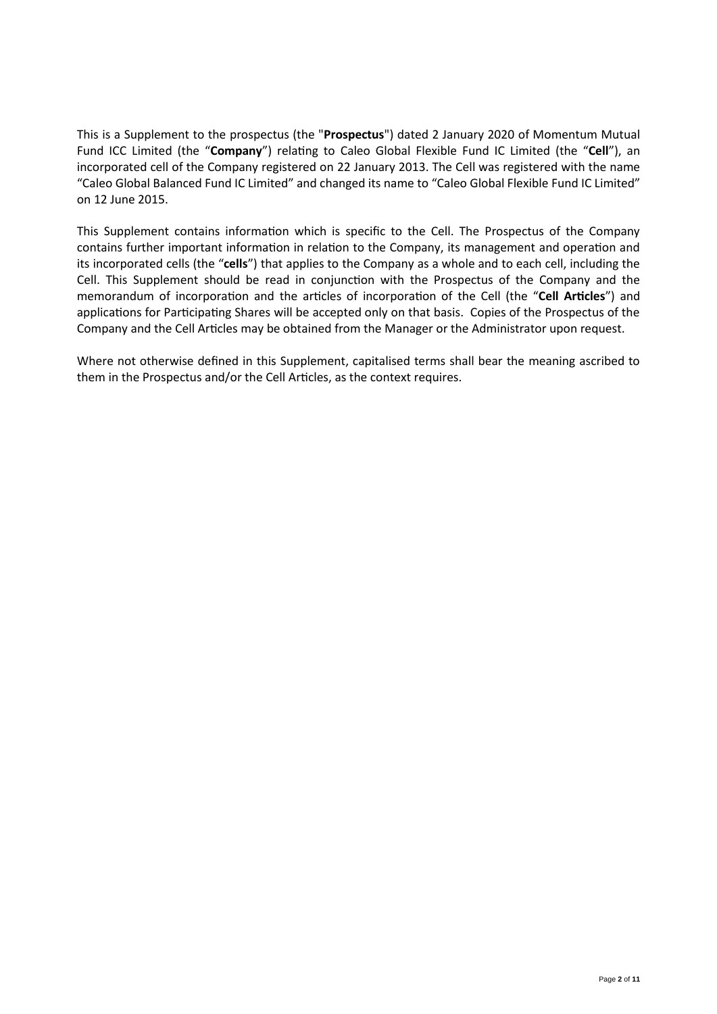This is a Supplement to the prospectus (the "**Prospectus**") dated 2 January 2020 of Momentum Mutual Fund ICC Limited (the "**Company**") relating to Caleo Global Flexible Fund IC Limited (the "**Cell**"), an incorporated cell of the Company registered on 22 January 2013. The Cell was registered with the name "Caleo Global Balanced Fund IC Limited" and changed its name to "Caleo Global Flexible Fund IC Limited" on 12 June 2015.

This Supplement contains information which is specific to the Cell. The Prospectus of the Company contains further important information in relation to the Company, its management and operation and its incorporated cells (the "**cells**") that applies to the Company as a whole and to each cell, including the Cell. This Supplement should be read in conjunction with the Prospectus of the Company and the memorandum of incorporation and the articles of incorporation of the Cell (the "**Cell Articles**") and applications for Participating Shares will be accepted only on that basis. Copies of the Prospectus of the Company and the Cell Articles may be obtained from the Manager or the Administrator upon request.

Where not otherwise defined in this Supplement, capitalised terms shall bear the meaning ascribed to them in the Prospectus and/or the Cell Articles, as the context requires.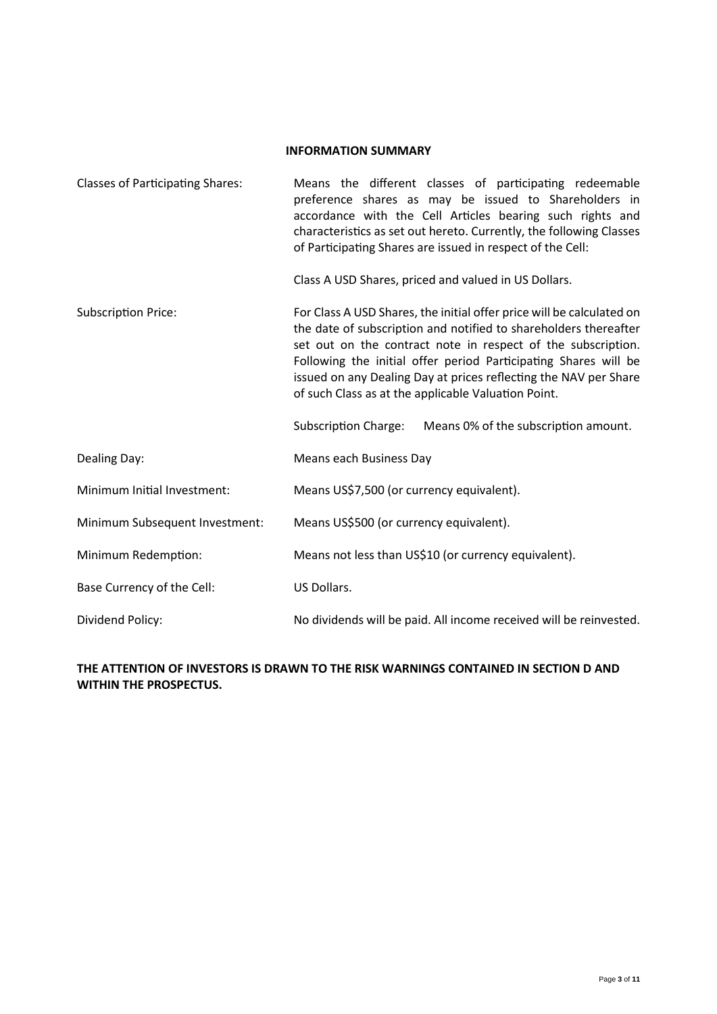#### **INFORMATION SUMMARY**

| <b>Classes of Participating Shares:</b> | Means the different classes of participating redeemable<br>preference shares as may be issued to Shareholders in<br>accordance with the Cell Articles bearing such rights and<br>characteristics as set out hereto. Currently, the following Classes<br>of Participating Shares are issued in respect of the Cell:<br>Class A USD Shares, priced and valued in US Dollars.                                                                                                     |
|-----------------------------------------|--------------------------------------------------------------------------------------------------------------------------------------------------------------------------------------------------------------------------------------------------------------------------------------------------------------------------------------------------------------------------------------------------------------------------------------------------------------------------------|
| <b>Subscription Price:</b>              | For Class A USD Shares, the initial offer price will be calculated on<br>the date of subscription and notified to shareholders thereafter<br>set out on the contract note in respect of the subscription.<br>Following the initial offer period Participating Shares will be<br>issued on any Dealing Day at prices reflecting the NAV per Share<br>of such Class as at the applicable Valuation Point.<br><b>Subscription Charge:</b><br>Means 0% of the subscription amount. |
|                                         |                                                                                                                                                                                                                                                                                                                                                                                                                                                                                |
| Dealing Day:                            | Means each Business Day                                                                                                                                                                                                                                                                                                                                                                                                                                                        |
| Minimum Initial Investment:             | Means US\$7,500 (or currency equivalent).                                                                                                                                                                                                                                                                                                                                                                                                                                      |
| Minimum Subsequent Investment:          | Means US\$500 (or currency equivalent).                                                                                                                                                                                                                                                                                                                                                                                                                                        |
| Minimum Redemption:                     | Means not less than US\$10 (or currency equivalent).                                                                                                                                                                                                                                                                                                                                                                                                                           |
| Base Currency of the Cell:              | US Dollars.                                                                                                                                                                                                                                                                                                                                                                                                                                                                    |
| Dividend Policy:                        | No dividends will be paid. All income received will be reinvested.                                                                                                                                                                                                                                                                                                                                                                                                             |

# **THE ATTENTION OF INVESTORS IS DRAWN TO THE RISK WARNINGS CONTAINED IN SECTION D AND WITHIN THE PROSPECTUS.**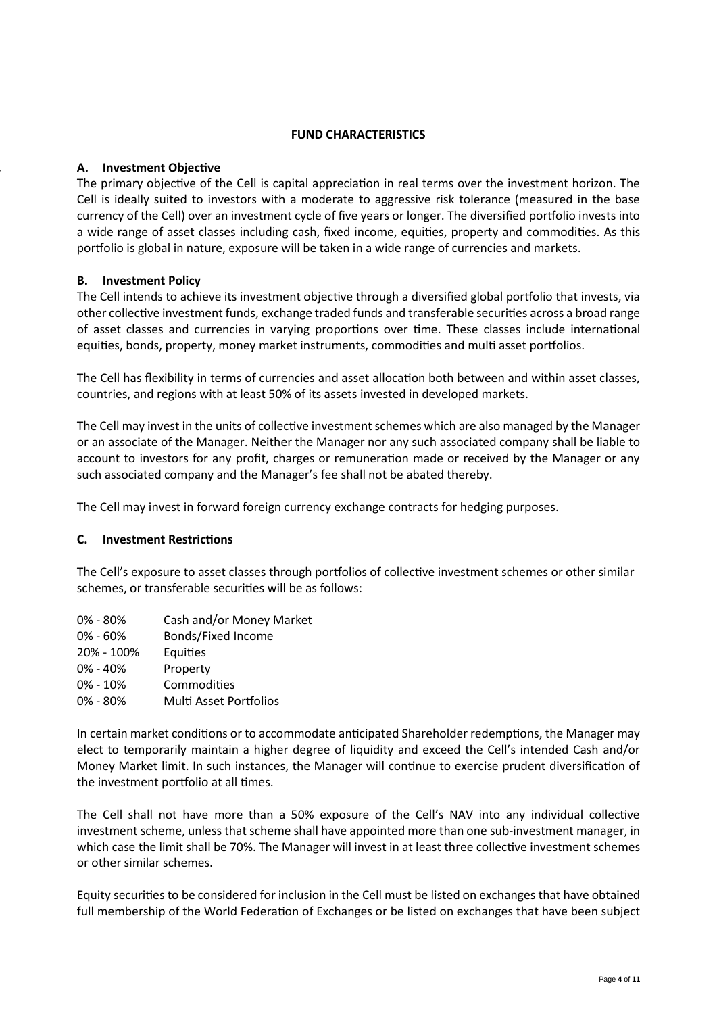### **FUND CHARACTERISTICS**

### *A.* **A. Investment Objective**

The primary objective of the Cell is capital appreciation in real terms over the investment horizon. The Cell is ideally suited to investors with a moderate to aggressive risk tolerance (measured in the base currency of the Cell) over an investment cycle of five years or longer. The diversified portfolio invests into a wide range of asset classes including cash, fixed income, equities, property and commodities. As this portfolio is global in nature, exposure will be taken in a wide range of currencies and markets.

## **B. Investment Policy**

The Cell intends to achieve its investment objective through a diversified global portfolio that invests, via other collective investment funds, exchange traded funds and transferable securities across a broad range of asset classes and currencies in varying proportions over time. These classes include international equities, bonds, property, money market instruments, commodities and multi asset portfolios.

The Cell has flexibility in terms of currencies and asset allocation both between and within asset classes, countries, and regions with at least 50% of its assets invested in developed markets.

The Cell may invest in the units of collective investment schemes which are also managed by the Manager or an associate of the Manager. Neither the Manager nor any such associated company shall be liable to account to investors for any profit, charges or remuneration made or received by the Manager or any such associated company and the Manager's fee shall not be abated thereby.

The Cell may invest in forward foreign currency exchange contracts for hedging purposes.

## **C. Investment Restrictions**

The Cell's exposure to asset classes through portfolios of collective investment schemes or other similar schemes, or transferable securities will be as follows:

0% - 80% Cash and/or Money Market 0% - 60% Bonds/Fixed Income 20% - 100% Equities 0% - 40% Property 0% - 10% Commodities 0% - 80% Multi Asset Portfolios

In certain market conditions or to accommodate anticipated Shareholder redemptions, the Manager may elect to temporarily maintain a higher degree of liquidity and exceed the Cell's intended Cash and/or Money Market limit. In such instances, the Manager will continue to exercise prudent diversification of the investment portfolio at all times.

The Cell shall not have more than a 50% exposure of the Cell's NAV into any individual collective investment scheme, unless that scheme shall have appointed more than one sub-investment manager, in which case the limit shall be 70%. The Manager will invest in at least three collective investment schemes or other similar schemes.

Equity securities to be considered for inclusion in the Cell must be listed on exchanges that have obtained full membership of the World Federation of Exchanges or be listed on exchanges that have been subject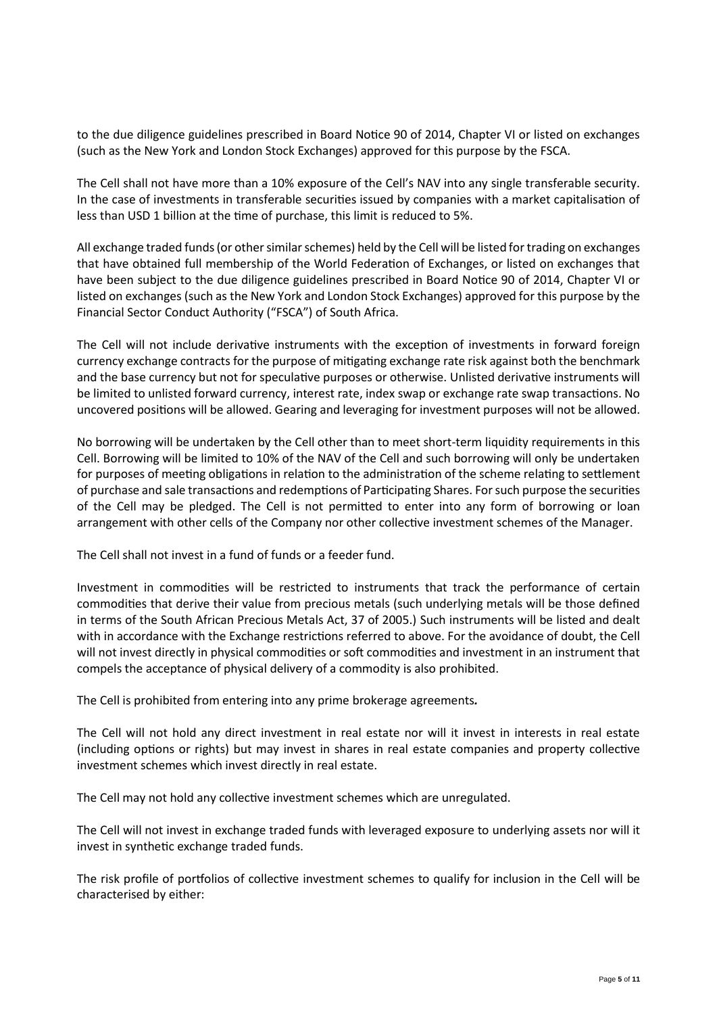to the due diligence guidelines prescribed in Board Notice 90 of 2014, Chapter VI or listed on exchanges (such as the New York and London Stock Exchanges) approved for this purpose by the FSCA.

The Cell shall not have more than a 10% exposure of the Cell's NAV into any single transferable security. In the case of investments in transferable securities issued by companies with a market capitalisation of less than USD 1 billion at the time of purchase, this limit is reduced to 5%.

All exchange traded funds (or other similar schemes) held by the Cell will be listed for trading on exchanges that have obtained full membership of the World Federation of Exchanges, or listed on exchanges that have been subject to the due diligence guidelines prescribed in Board Notice 90 of 2014, Chapter VI or listed on exchanges (such as the New York and London Stock Exchanges) approved for this purpose by the Financial Sector Conduct Authority ("FSCA") of South Africa.

The Cell will not include derivative instruments with the exception of investments in forward foreign currency exchange contracts for the purpose of mitigating exchange rate risk against both the benchmark and the base currency but not for speculative purposes or otherwise. Unlisted derivative instruments will be limited to unlisted forward currency, interest rate, index swap or exchange rate swap transactions. No uncovered positions will be allowed. Gearing and leveraging for investment purposes will not be allowed.

No borrowing will be undertaken by the Cell other than to meet short-term liquidity requirements in this Cell. Borrowing will be limited to 10% of the NAV of the Cell and such borrowing will only be undertaken for purposes of meeting obligations in relation to the administration of the scheme relating to settlement of purchase and sale transactions and redemptions of Participating Shares. For such purpose the securities of the Cell may be pledged. The Cell is not permitted to enter into any form of borrowing or loan arrangement with other cells of the Company nor other collective investment schemes of the Manager.

The Cell shall not invest in a fund of funds or a feeder fund.

Investment in commodities will be restricted to instruments that track the performance of certain commodities that derive their value from precious metals (such underlying metals will be those defined in terms of the South African Precious Metals Act, 37 of 2005.) Such instruments will be listed and dealt with in accordance with the Exchange restrictions referred to above. For the avoidance of doubt, the Cell will not invest directly in physical commodities or soft commodities and investment in an instrument that compels the acceptance of physical delivery of a commodity is also prohibited.

The Cell is prohibited from entering into any prime brokerage agreements*.*

The Cell will not hold any direct investment in real estate nor will it invest in interests in real estate (including options or rights) but may invest in shares in real estate companies and property collective investment schemes which invest directly in real estate.

The Cell may not hold any collective investment schemes which are unregulated.

The Cell will not invest in exchange traded funds with leveraged exposure to underlying assets nor will it invest in synthetic exchange traded funds.

The risk profile of portfolios of collective investment schemes to qualify for inclusion in the Cell will be characterised by either: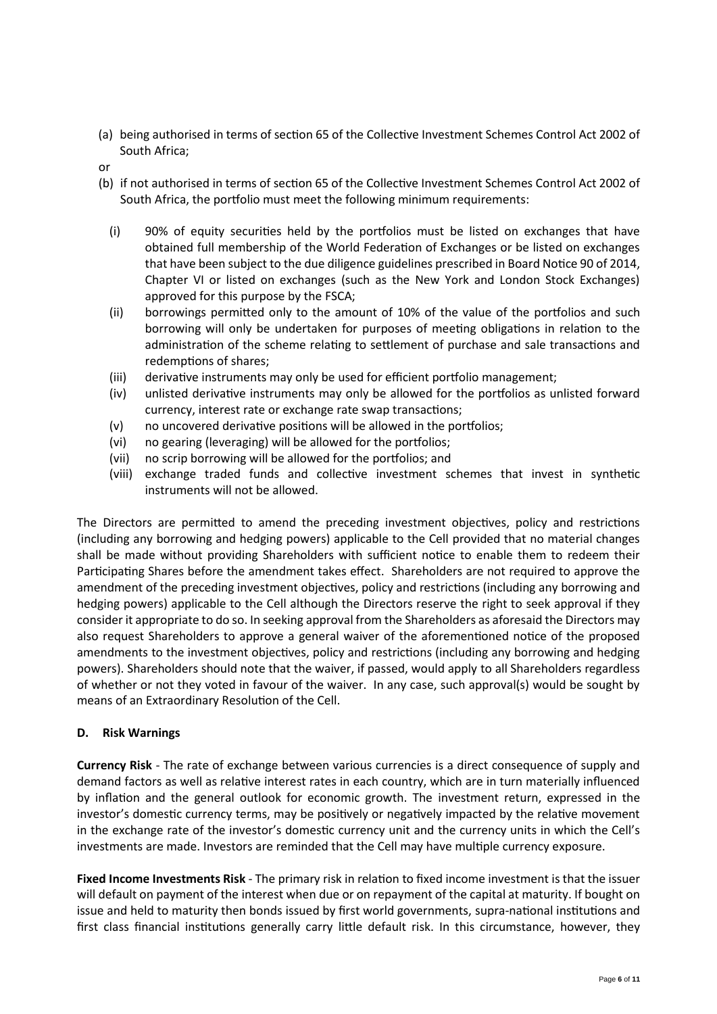- (a) being authorised in terms of section 65 of the Collective Investment Schemes Control Act 2002 of South Africa;
- or
- (b) if not authorised in terms of section 65 of the Collective Investment Schemes Control Act 2002 of South Africa, the portfolio must meet the following minimum requirements:
	- (i) 90% of equity securities held by the portfolios must be listed on exchanges that have obtained full membership of the World Federation of Exchanges or be listed on exchanges that have been subject to the due diligence guidelines prescribed in Board Notice 90 of 2014, Chapter VI or listed on exchanges (such as the New York and London Stock Exchanges) approved for this purpose by the FSCA;
	- (ii) borrowings permitted only to the amount of 10% of the value of the portfolios and such borrowing will only be undertaken for purposes of meeting obligations in relation to the administration of the scheme relating to settlement of purchase and sale transactions and redemptions of shares;
	- (iii) derivative instruments may only be used for efficient portfolio management;
	- (iv) unlisted derivative instruments may only be allowed for the portfolios as unlisted forward currency, interest rate or exchange rate swap transactions;
	- (v) no uncovered derivative positions will be allowed in the portfolios;
	- (vi) no gearing (leveraging) will be allowed for the portfolios;
	- (vii) no scrip borrowing will be allowed for the portfolios; and
	- (viii) exchange traded funds and collective investment schemes that invest in synthetic instruments will not be allowed.

The Directors are permitted to amend the preceding investment objectives, policy and restrictions (including any borrowing and hedging powers) applicable to the Cell provided that no material changes shall be made without providing Shareholders with sufficient notice to enable them to redeem their Participating Shares before the amendment takes effect. Shareholders are not required to approve the amendment of the preceding investment objectives, policy and restrictions (including any borrowing and hedging powers) applicable to the Cell although the Directors reserve the right to seek approval if they consider it appropriate to do so. In seeking approval from the Shareholders as aforesaid the Directors may also request Shareholders to approve a general waiver of the aforementioned notice of the proposed amendments to the investment objectives, policy and restrictions (including any borrowing and hedging powers). Shareholders should note that the waiver, if passed, would apply to all Shareholders regardless of whether or not they voted in favour of the waiver. In any case, such approval(s) would be sought by means of an Extraordinary Resolution of the Cell.

### **D. Risk Warnings**

**Currency Risk** - The rate of exchange between various currencies is a direct consequence of supply and demand factors as well as relative interest rates in each country, which are in turn materially influenced by inflation and the general outlook for economic growth. The investment return, expressed in the investor's domestic currency terms, may be positively or negatively impacted by the relative movement in the exchange rate of the investor's domestic currency unit and the currency units in which the Cell's investments are made. Investors are reminded that the Cell may have multiple currency exposure.

**Fixed Income Investments Risk** - The primary risk in relation to fixed income investment is that the issuer will default on payment of the interest when due or on repayment of the capital at maturity. If bought on issue and held to maturity then bonds issued by first world governments, supra-national institutions and first class financial institutions generally carry little default risk. In this circumstance, however, they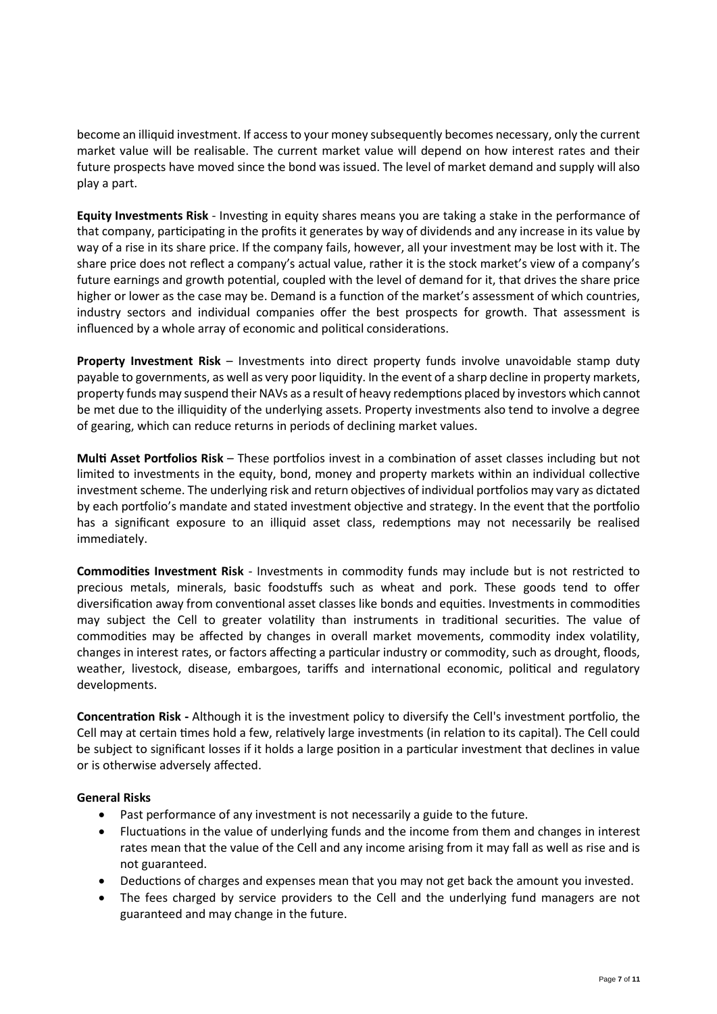become an illiquid investment. If access to your money subsequently becomes necessary, only the current market value will be realisable. The current market value will depend on how interest rates and their future prospects have moved since the bond was issued. The level of market demand and supply will also play a part.

**Equity Investments Risk** - Investing in equity shares means you are taking a stake in the performance of that company, participating in the profits it generates by way of dividends and any increase in its value by way of a rise in its share price. If the company fails, however, all your investment may be lost with it. The share price does not reflect a company's actual value, rather it is the stock market's view of a company's future earnings and growth potential, coupled with the level of demand for it, that drives the share price higher or lower as the case may be. Demand is a function of the market's assessment of which countries, industry sectors and individual companies offer the best prospects for growth. That assessment is influenced by a whole array of economic and political considerations.

**Property Investment Risk** – Investments into direct property funds involve unavoidable stamp duty payable to governments, as well as very poor liquidity. In the event of a sharp decline in property markets, property funds may suspend their NAVs as a result of heavy redemptions placed by investors which cannot be met due to the illiquidity of the underlying assets. Property investments also tend to involve a degree of gearing, which can reduce returns in periods of declining market values.

**Multi Asset Portfolios Risk** – These portfolios invest in a combination of asset classes including but not limited to investments in the equity, bond, money and property markets within an individual collective investment scheme. The underlying risk and return objectives of individual portfolios may vary as dictated by each portfolio's mandate and stated investment objective and strategy. In the event that the portfolio has a significant exposure to an illiquid asset class, redemptions may not necessarily be realised immediately.

**Commodities Investment Risk** - Investments in commodity funds may include but is not restricted to precious metals, minerals, basic foodstuffs such as wheat and pork. These goods tend to offer diversification away from conventional asset classes like bonds and equities. Investments in commodities may subject the Cell to greater volatility than instruments in traditional securities. The value of commodities may be affected by changes in overall market movements, commodity index volatility, changes in interest rates, or factors affecting a particular industry or commodity, such as drought, floods, weather, livestock, disease, embargoes, tariffs and international economic, political and regulatory developments.

**Concentration Risk -** Although it is the investment policy to diversify the Cell's investment portfolio, the Cell may at certain times hold a few, relatively large investments (in relation to its capital). The Cell could be subject to significant losses if it holds a large position in a particular investment that declines in value or is otherwise adversely affected.

### **General Risks**

- Past performance of any investment is not necessarily a guide to the future.
- Fluctuations in the value of underlying funds and the income from them and changes in interest rates mean that the value of the Cell and any income arising from it may fall as well as rise and is not guaranteed.
- Deductions of charges and expenses mean that you may not get back the amount you invested.
- The fees charged by service providers to the Cell and the underlying fund managers are not guaranteed and may change in the future.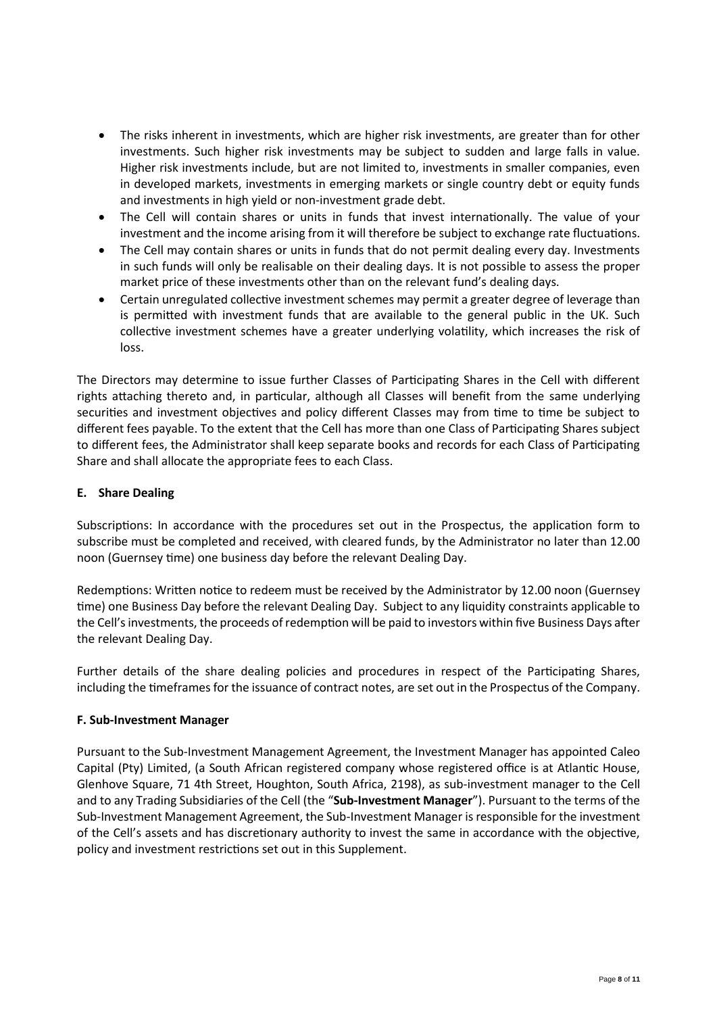- The risks inherent in investments, which are higher risk investments, are greater than for other investments. Such higher risk investments may be subject to sudden and large falls in value. Higher risk investments include, but are not limited to, investments in smaller companies, even in developed markets, investments in emerging markets or single country debt or equity funds and investments in high yield or non-investment grade debt.
- The Cell will contain shares or units in funds that invest internationally. The value of your investment and the income arising from it will therefore be subject to exchange rate fluctuations.
- The Cell may contain shares or units in funds that do not permit dealing every day. Investments in such funds will only be realisable on their dealing days. It is not possible to assess the proper market price of these investments other than on the relevant fund's dealing days.
- Certain unregulated collective investment schemes may permit a greater degree of leverage than is permitted with investment funds that are available to the general public in the UK. Such collective investment schemes have a greater underlying volatility, which increases the risk of loss.

The Directors may determine to issue further Classes of Participating Shares in the Cell with different rights attaching thereto and, in particular, although all Classes will benefit from the same underlying securities and investment objectives and policy different Classes may from time to time be subject to different fees payable. To the extent that the Cell has more than one Class of Participating Shares subject to different fees, the Administrator shall keep separate books and records for each Class of Participating Share and shall allocate the appropriate fees to each Class.

## **E. Share Dealing**

Subscriptions: In accordance with the procedures set out in the Prospectus, the application form to subscribe must be completed and received, with cleared funds, by the Administrator no later than 12.00 noon (Guernsey time) one business day before the relevant Dealing Day.

Redemptions: Written notice to redeem must be received by the Administrator by 12.00 noon (Guernsey time) one Business Day before the relevant Dealing Day. Subject to any liquidity constraints applicable to the Cell's investments, the proceeds of redemption will be paid to investors within five Business Days after the relevant Dealing Day.

Further details of the share dealing policies and procedures in respect of the Participating Shares, including the timeframes for the issuance of contract notes, are set out in the Prospectus of the Company.

### **F. Sub-Investment Manager**

Pursuant to the Sub-Investment Management Agreement, the Investment Manager has appointed Caleo Capital (Pty) Limited, (a South African registered company whose registered office is at Atlantic House, Glenhove Square, 71 4th Street, Houghton, South Africa, 2198), as sub-investment manager to the Cell and to any Trading Subsidiaries of the Cell (the "**Sub-Investment Manager**"). Pursuant to the terms of the Sub-Investment Management Agreement, the Sub-Investment Manager is responsible for the investment of the Cell's assets and has discretionary authority to invest the same in accordance with the objective, policy and investment restrictions set out in this Supplement.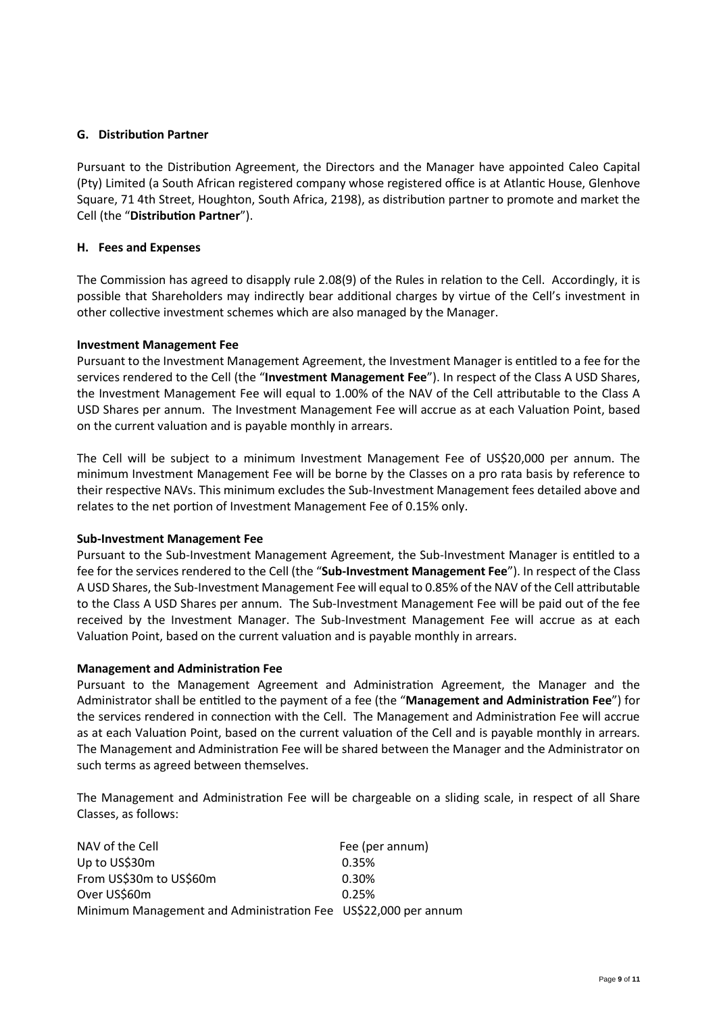### **G. Distribution Partner**

Pursuant to the Distribution Agreement, the Directors and the Manager have appointed Caleo Capital (Pty) Limited (a South African registered company whose registered office is at Atlantic House, Glenhove Square, 71 4th Street, Houghton, South Africa, 2198), as distribution partner to promote and market the Cell (the "**Distribution Partner**").

### **H. Fees and Expenses**

The Commission has agreed to disapply rule 2.08(9) of the Rules in relation to the Cell. Accordingly, it is possible that Shareholders may indirectly bear additional charges by virtue of the Cell's investment in other collective investment schemes which are also managed by the Manager.

### **Investment Management Fee**

Pursuant to the Investment Management Agreement, the Investment Manager is entitled to a fee for the services rendered to the Cell (the "**Investment Management Fee**"). In respect of the Class A USD Shares, the Investment Management Fee will equal to 1.00% of the NAV of the Cell attributable to the Class A USD Shares per annum. The Investment Management Fee will accrue as at each Valuation Point, based on the current valuation and is payable monthly in arrears.

The Cell will be subject to a minimum Investment Management Fee of US\$20,000 per annum. The minimum Investment Management Fee will be borne by the Classes on a pro rata basis by reference to their respective NAVs. This minimum excludes the Sub-Investment Management fees detailed above and relates to the net portion of Investment Management Fee of 0.15% only.

### **Sub-Investment Management Fee**

Pursuant to the Sub-Investment Management Agreement, the Sub-Investment Manager is entitled to a fee for the services rendered to the Cell (the "**Sub-Investment Management Fee**"). In respect of the Class A USD Shares, the Sub-Investment Management Fee will equal to 0.85% of the NAV of the Cell attributable to the Class A USD Shares per annum. The Sub-Investment Management Fee will be paid out of the fee received by the Investment Manager. The Sub-Investment Management Fee will accrue as at each Valuation Point, based on the current valuation and is payable monthly in arrears.

### **Management and Administration Fee**

Pursuant to the Management Agreement and Administration Agreement, the Manager and the Administrator shall be entitled to the payment of a fee (the "**Management and Administration Fee**") for the services rendered in connection with the Cell. The Management and Administration Fee will accrue as at each Valuation Point, based on the current valuation of the Cell and is payable monthly in arrears. The Management and Administration Fee will be shared between the Manager and the Administrator on such terms as agreed between themselves.

The Management and Administration Fee will be chargeable on a sliding scale, in respect of all Share Classes, as follows:

| NAV of the Cell                                                | Fee (per annum) |
|----------------------------------------------------------------|-----------------|
| Up to US\$30m                                                  | 0.35%           |
| From US\$30m to US\$60m                                        | 0.30%           |
| Over US\$60m                                                   | 0.25%           |
| Minimum Management and Administration Fee US\$22,000 per annum |                 |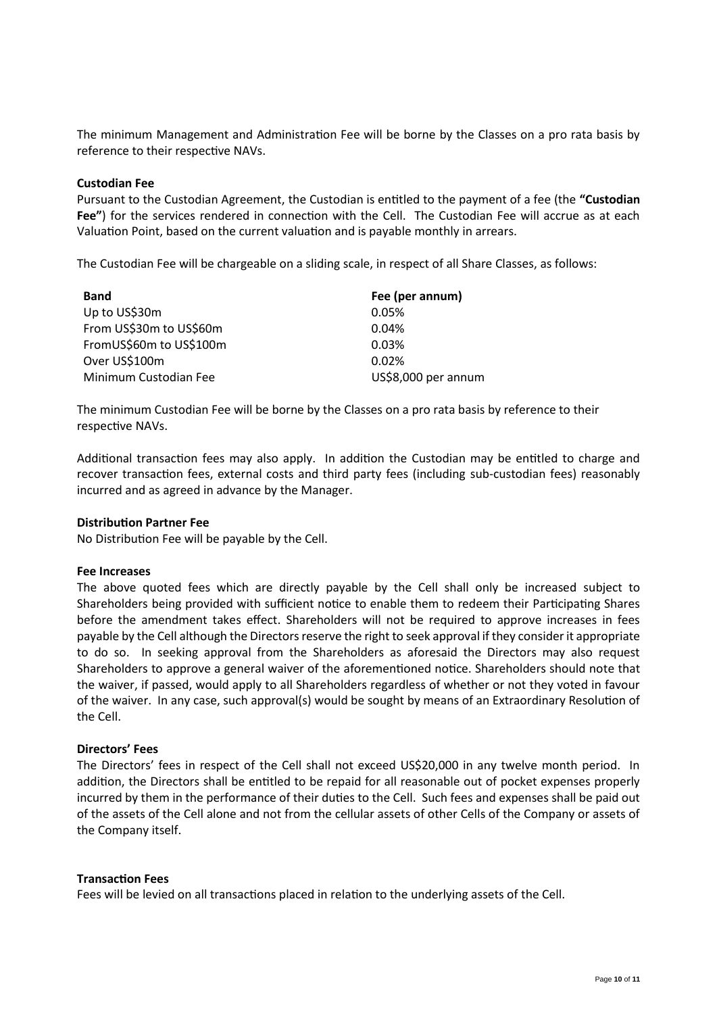The minimum Management and Administration Fee will be borne by the Classes on a pro rata basis by reference to their respective NAVs.

#### **Custodian Fee**

Pursuant to the Custodian Agreement, the Custodian is entitled to the payment of a fee (the **"Custodian Fee"**) for the services rendered in connection with the Cell. The Custodian Fee will accrue as at each Valuation Point, based on the current valuation and is payable monthly in arrears.

The Custodian Fee will be chargeable on a sliding scale, in respect of all Share Classes, as follows:

| <b>Band</b>             | Fee (per annum)     |
|-------------------------|---------------------|
| Up to US\$30m           | 0.05%               |
| From US\$30m to US\$60m | 0.04%               |
| FromUS\$60m to US\$100m | 0.03%               |
| Over US\$100m           | 0.02%               |
| Minimum Custodian Fee   | US\$8,000 per annum |

The minimum Custodian Fee will be borne by the Classes on a pro rata basis by reference to their respective NAVs.

Additional transaction fees may also apply. In addition the Custodian may be entitled to charge and recover transaction fees, external costs and third party fees (including sub-custodian fees) reasonably incurred and as agreed in advance by the Manager.

#### **Distribution Partner Fee**

No Distribution Fee will be payable by the Cell.

#### **Fee Increases**

The above quoted fees which are directly payable by the Cell shall only be increased subject to Shareholders being provided with sufficient notice to enable them to redeem their Participating Shares before the amendment takes effect. Shareholders will not be required to approve increases in fees payable by the Cell although the Directors reserve the right to seek approval if they consider it appropriate to do so. In seeking approval from the Shareholders as aforesaid the Directors may also request Shareholders to approve a general waiver of the aforementioned notice. Shareholders should note that the waiver, if passed, would apply to all Shareholders regardless of whether or not they voted in favour of the waiver. In any case, such approval(s) would be sought by means of an Extraordinary Resolution of the Cell.

#### **Directors' Fees**

The Directors' fees in respect of the Cell shall not exceed US\$20,000 in any twelve month period. In addition, the Directors shall be entitled to be repaid for all reasonable out of pocket expenses properly incurred by them in the performance of their duties to the Cell. Such fees and expenses shall be paid out of the assets of the Cell alone and not from the cellular assets of other Cells of the Company or assets of the Company itself.

#### **Transaction Fees**

Fees will be levied on all transactions placed in relation to the underlying assets of the Cell.